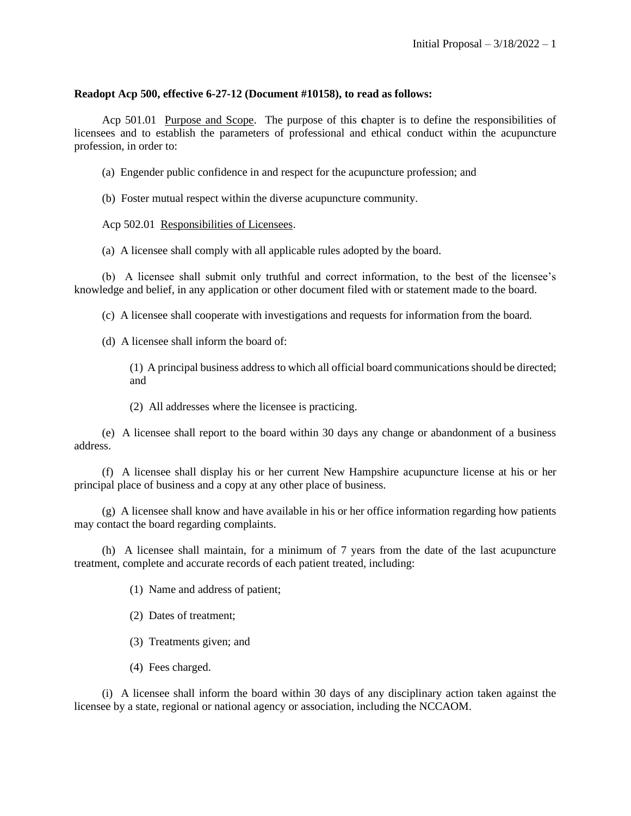## **Readopt Acp 500, effective 6-27-12 (Document #10158), to read as follows:**

Acp 501.01 Purpose and Scope. The purpose of this **c**hapter is to define the responsibilities of licensees and to establish the parameters of professional and ethical conduct within the acupuncture profession, in order to:

(a) Engender public confidence in and respect for the acupuncture profession; and

(b) Foster mutual respect within the diverse acupuncture community.

Acp 502.01 Responsibilities of Licensees.

(a) A licensee shall comply with all applicable rules adopted by the board.

(b) A licensee shall submit only truthful and correct information, to the best of the licensee's knowledge and belief, in any application or other document filed with or statement made to the board.

(c) A licensee shall cooperate with investigations and requests for information from the board.

(d) A licensee shall inform the board of:

(1) A principal business address to which all official board communications should be directed; and

(2) All addresses where the licensee is practicing.

(e) A licensee shall report to the board within 30 days any change or abandonment of a business address.

(f) A licensee shall display his or her current New Hampshire acupuncture license at his or her principal place of business and a copy at any other place of business.

(g) A licensee shall know and have available in his or her office information regarding how patients may contact the board regarding complaints.

(h) A licensee shall maintain, for a minimum of 7 years from the date of the last acupuncture treatment, complete and accurate records of each patient treated, including:

(1) Name and address of patient;

(2) Dates of treatment;

(3) Treatments given; and

(4) Fees charged.

(i) A licensee shall inform the board within 30 days of any disciplinary action taken against the licensee by a state, regional or national agency or association, including the NCCAOM.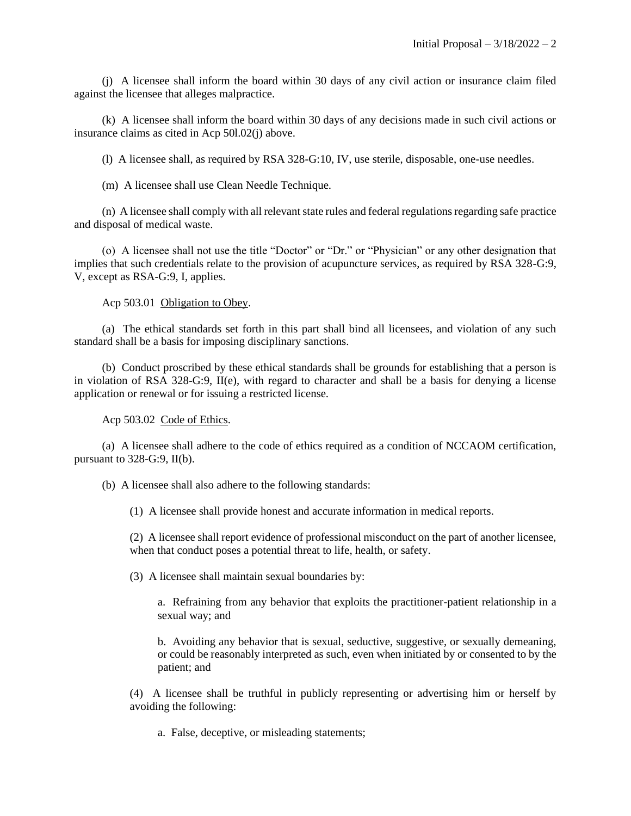(j) A licensee shall inform the board within 30 days of any civil action or insurance claim filed against the licensee that alleges malpractice.

(k) A licensee shall inform the board within 30 days of any decisions made in such civil actions or insurance claims as cited in Acp 50l.02(j) above.

(l) A licensee shall, as required by RSA 328-G:10, IV, use sterile, disposable, one-use needles.

(m) A licensee shall use Clean Needle Technique.

(n) A licensee shall comply with all relevant state rules and federal regulations regarding safe practice and disposal of medical waste.

(o) A licensee shall not use the title "Doctor" or "Dr." or "Physician" or any other designation that implies that such credentials relate to the provision of acupuncture services, as required by RSA 328-G:9, V, except as RSA-G:9, I, applies.

Acp 503.01 Obligation to Obey.

(a) The ethical standards set forth in this part shall bind all licensees, and violation of any such standard shall be a basis for imposing disciplinary sanctions.

(b) Conduct proscribed by these ethical standards shall be grounds for establishing that a person is in violation of RSA 328-G:9, II(e), with regard to character and shall be a basis for denying a license application or renewal or for issuing a restricted license.

Acp 503.02 Code of Ethics.

(a) A licensee shall adhere to the code of ethics required as a condition of NCCAOM certification, pursuant to 328-G:9, II(b).

(b) A licensee shall also adhere to the following standards:

(1) A licensee shall provide honest and accurate information in medical reports.

(2) A licensee shall report evidence of professional misconduct on the part of another licensee, when that conduct poses a potential threat to life, health, or safety.

(3) A licensee shall maintain sexual boundaries by:

a. Refraining from any behavior that exploits the practitioner-patient relationship in a sexual way; and

b. Avoiding any behavior that is sexual, seductive, suggestive, or sexually demeaning, or could be reasonably interpreted as such, even when initiated by or consented to by the patient; and

(4) A licensee shall be truthful in publicly representing or advertising him or herself by avoiding the following:

a. False, deceptive, or misleading statements;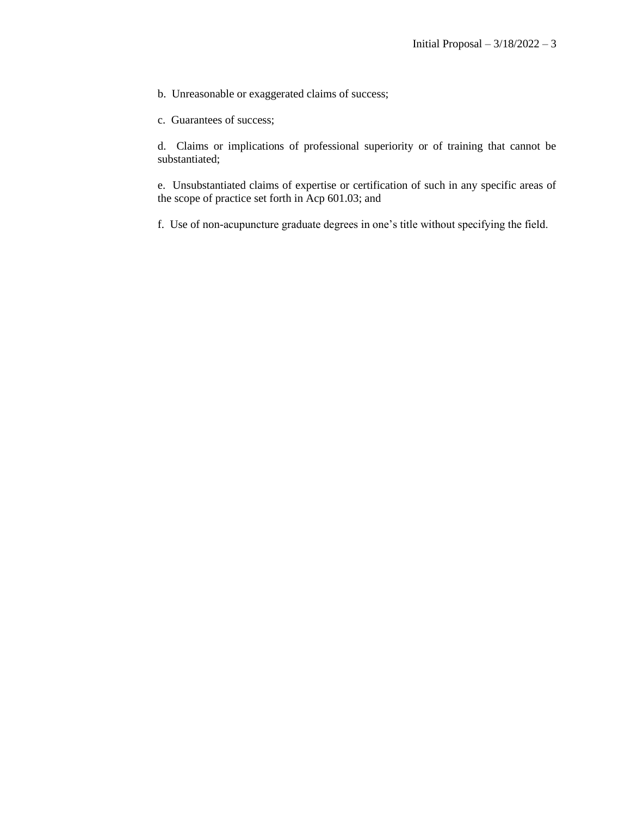b. Unreasonable or exaggerated claims of success;

c. Guarantees of success;

d. Claims or implications of professional superiority or of training that cannot be substantiated;

e. Unsubstantiated claims of expertise or certification of such in any specific areas of the scope of practice set forth in Acp 601.03; and

f. Use of non-acupuncture graduate degrees in one's title without specifying the field.